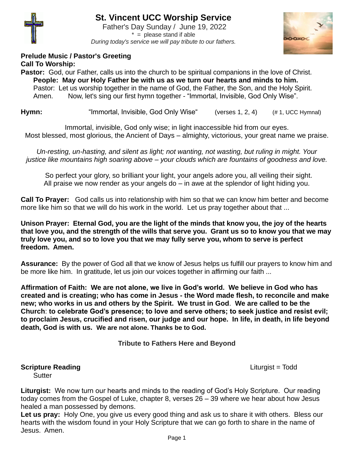

# **St. Vincent UCC Worship Service**

Father's Day Sunday / June 19, 2022  $* =$  please stand if able *During today's service we will pay tribute to our fathers.*



# **Prelude Music / Pastor's Greeting Call To Worship:**

**Pastor:** God, our Father, calls us into the church to be spiritual companions in the love of Christ. **People: May our Holy Father be with us as we turn our hearts and minds to him.**  Pastor: Let us worship together in the name of God, the Father, the Son, and the Holy Spirit. Amen. Now, let's sing our first hymn together - "Immortal, Invisible, God Only Wise".

**Hymn:** "Immortal, Invisible, God Only Wise" (verses 1, 2, 4) (# 1, UCC Hymnal)

Immortal, invisible, God only wise; in light inaccessible hid from our eyes. Most blessed, most glorious, the Ancient of Days – almighty, victorious, your great name we praise.

*Un-resting, un-hasting, and silent as light; not wanting, not wasting, but ruling in might. Your justice like mountains high soaring above – your clouds which are fountains of goodness and love.*

 So perfect your glory, so brilliant your light, your angels adore you, all veiling their sight. All praise we now render as your angels do – in awe at the splendor of light hiding you.

**Call To Prayer:** God calls us into relationship with him so that we can know him better and become more like him so that we will do his work in the world. Let us pray together about that ...

**Unison Prayer: Eternal God, you are the light of the minds that know you, the joy of the hearts that love you, and the strength of the wills that serve you. Grant us so to know you that we may truly love you, and so to love you that we may fully serve you, whom to serve is perfect freedom. Amen.** 

**Assurance:** By the power of God all that we know of Jesus helps us fulfill our prayers to know him and be more like him. In gratitude, let us join our voices together in affirming our faith ...

**Affirmation of Faith: We are not alone, we live in God's world. We believe in God who has created and is creating; who has come in Jesus - the Word made flesh, to reconcile and make new; who works in us and others by the Spirit. We trust in God**. **We are called to be the Church**: **to celebrate God's presence; to love and serve others; to seek justice and resist evil; to proclaim Jesus, crucified and risen, our judge and our hope. In life, in death, in life beyond death, God is with us. We are not alone. Thanks be to God.**

**Tribute to Fathers Here and Beyond**

# **Scripture Reading Contract Contract Contract Contract Contract Contract Contract Contract Contract Contract Contract Contract Contract Contract Contract Contract Contract Contract Contract Contract Contract Contract Con**

**Sutter** 

**Liturgist:** We now turn our hearts and minds to the reading of God's Holy Scripture. Our reading today comes from the Gospel of Luke, chapter 8, verses 26 – 39 where we hear about how Jesus healed a man possessed by demons.

Let us pray: Holy One, you give us every good thing and ask us to share it with others. Bless our hearts with the wisdom found in your Holy Scripture that we can go forth to share in the name of Jesus. Amen.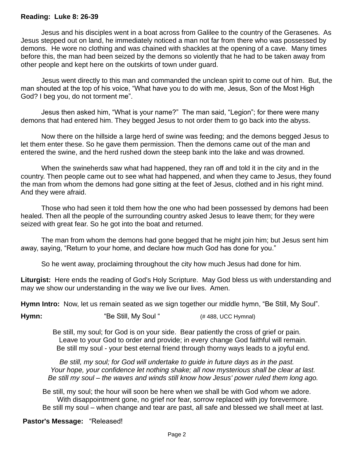### **Reading: Luke 8: 26-39**

Jesus and his disciples went in a boat across from Galilee to the country of the Gerasenes. As Jesus stepped out on land, he immediately noticed a man not far from there who was possessed by demons. He wore no clothing and was chained with shackles at the opening of a cave. Many times before this, the man had been seized by the demons so violently that he had to be taken away from other people and kept here on the outskirts of town under guard.

Jesus went directly to this man and commanded the unclean spirit to come out of him. But, the man shouted at the top of his voice, "What have you to do with me, Jesus, Son of the Most High God? I beg you, do not torment me".

Jesus then asked him, "What is your name?" The man said, "Legion"; for there were many demons that had entered him. They begged Jesus to not order them to go back into the abyss.

Now there on the hillside a large herd of swine was feeding; and the demons begged Jesus to let them enter these. So he gave them permission. Then the demons came out of the man and entered the swine, and the herd rushed down the steep bank into the lake and was drowned.

When the swineherds saw what had happened, they ran off and told it in the city and in the country. Then people came out to see what had happened, and when they came to Jesus, they found the man from whom the demons had gone sitting at the feet of Jesus, clothed and in his right mind. And they were afraid.

Those who had seen it told them how the one who had been possessed by demons had been healed. Then all the people of the surrounding country asked Jesus to leave them; for they were seized with great fear. So he got into the boat and returned.

The man from whom the demons had gone begged that he might join him; but Jesus sent him away, saying, "Return to your home, and declare how much God has done for you."

So he went away, proclaiming throughout the city how much Jesus had done for him.

**Liturgist:** Here ends the reading of God's Holy Scripture. May God bless us with understanding and may we show our understanding in the way we live our lives. Amen.

**Hymn Intro:** Now, let us remain seated as we sign together our middle hymn, "Be Still, My Soul".

**Hymn:** "Be Still, My Soul " (# 488, UCC Hymnal)

Be still, my soul; for God is on your side. Bear patiently the cross of grief or pain. Leave to your God to order and provide; in every change God faithful will remain. Be still my soul - your best eternal friend through thorny ways leads to a joyful end.

*Be still, my soul; for God will undertake to guide in future days as in the past. Your hope, your confidence let nothing shake; all now mysterious shall be clear at last. Be still my soul – the waves and winds still know how Jesus' power ruled them long ago.*

Be still, my soul; the hour will soon be here when we shall be with God whom we adore. With disappointment gone, no grief nor fear, sorrow replaced with joy forevermore. Be still my soul – when change and tear are past, all safe and blessed we shall meet at last.

## **Pastor's Message:** "Released!